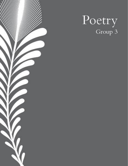

# Poetry<br>Group 3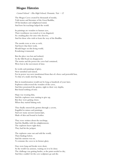## Mogao Histories

Carmel School - Elsa High School, Domnitz, Yair - 12

The Mogao Caves created by thousands of monks, Told stories and literature of the Great Buddha, Of his kindness and enlightened mind, And how his teachings helped the world.

Its paintings are wonders to human eyes, Their worthiness was tested as it was disguised, As a trading place for ones who deceive, And for those who wish to learn the way of the Buddha.

The monks were as wise as owls, And knew that their work, Would linger on this living world, Rendering it immortal.

But the place was lost and isolated, As the Silk Road era disappeared, The stories and the power the caves had contained, Were lost in the movement of time.

Its works and paintings of glory, Now tarnished and ruined, For its power was now transformed from that of a fierce and powerful lion, To that of a small, tired lap dog.

But its transformation would not be long as hundreds of years later, Explorers rediscovered the wonders of the caves, And they penetrated the grottos, right to their very depths, But found nothing of note.

Hope was wearing thin, And the explorers were starting to give up, But they were getting closer, When they started hitting rock.

They finally entered the grottos through a cavern, Engulfed in statues and paintings, And saw many ancient manuscripts, Made of skin and bound in leather.

They were written about the teachings, And the Buddha with his enlightenment, The explorers knew right then, They had hit the jackpot.

The explorers came out and told the world, Their findings below, And the mission was set, To reinstate the caves to its former glory.

Days were long and breaks were short, As the world was anxious, waiting on it to be done. The challenge was getting harder, as the paint needed to dry, And they couldn't let the cave sculptures go and die.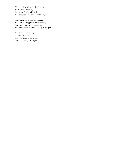The people worked harder than ever, As the dust settled in, But it was finally achieved, And the grottoes returned with might.

Since then, the world has recognised, And started to appreciate the caves again, For their beauty and inspiration, And for its impact on the history of religion.

And there is our story, A beautiful place, That was tarnished and lost, Until we brought it to glory.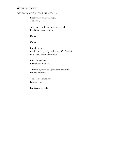#### Western Caves

CCC Kei Yuen College, Kwok, Wing Chi - 14

I know they are in the west, The caves.

So far away… they cannot be reached. I walk for years….closer.

Closer.

Closer.

I reach them. I feel a shiver passing me by, a whiff of arid air From deep below the surface.

I find an opening. It leaves me in shock.

After my eyes adjust, I gaze upon the walls. It is the beauty I seek.

The old stories are here, Kept so well.

It is beauty on hold.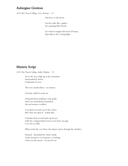#### Aubergine Grottoes

CCC Kei Yuen College, Law, Roniya - 13

Out here, in the desert.

On the walls, like a gallery. Are paintings full of heart,

It is hard to imagine this level of beauty, Especially in the evening light.

# Mystery Script

CCC Kei Yuen College, Sarki, Pristina - 13

Far to the west, high up in the mountains, Surrounded by desert, A labyrinth of caves.

The cave mouth shines: an entrance.

I feel the whiff of cooler air.

Exhausted from trekking, I step inside, And I am immediately astonished, Art and treasure overflow.

I am drawn toward a jar in the corner, But I dare not open it. Sealed shut.

Curiosity kicks in and I pick up the jar, Only for a magical hand swats it away from my grip, I cry out as it falls.

When it hits the cave floor, the shatter echoes through the chamber.

Stunned. Astonished by what's inside, I look around to see if anyone is watching, I dare not tell anyone. It's just for me.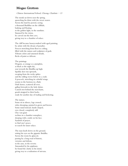## Mogao Grottoes

Chinese International School, Cheung, Charlotte  $-13$ 

The monk sat down near the spring, quenching his thirst with the sweet waters. Across the land he peered, seeing a thousand Buddhas on the cliffside, basking and floating in the golden light, in the sunshine. Stunned by his vision, he carved out the first cave, giving way to a chamber of solace.

The cliff became honeycombed with aged painting, by artists with the dream of paradise. Frescos stretching from floor to ceiling, filled with the statues and sculptures of gods. Vibrant colors and saturated details, flecks of paint so delicate.

The paintings.

Dragons, as orange as a pumpkin, as black as the night sky, soar towards the Buddha up high. Sparkly deer run upwards, escaping from the rocky spikes and the rolling waves below in a crash. A peacock, stretching its colorful wings, zooms to the horizon in a flash. Dark horses, scattered all over, gallop forwards to the holy shrine. Camels trot behind the merchants, goods strapped to their backs, ready for another day of trading and bickering.

The statues.

Some sit in silence, legs crossed, robes drooping, painted in green and brown. Some stand instead, hands clasped, eyes closed, completely still. One vast giant reclines in a chamber someplace, sleeping with a smile on his face. Symbols of prayer, to find one's peace, to search for inner solace.

The man knelt down on the ground, setting his eyes on the gigantic Buddha. Across the room he glanced, passing by a long road of history, victories and defeats, in the aura, in the reverie. Astounded by his epiphany, he found the clarity in his mind, giving way to a realization of nirvana.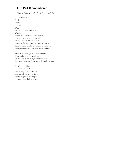## The Past Remembered

Chinese International School, Lent, Anabella - 11

The outside is Red, Dusty, Cracked. Old. Inside, hallowed mysteries Unfold Passed by. Unremembered. Dead. A voice, heeded at last, has said: I have a secret. Many, in fact. Unheard for ages, yet my voice is now back I am treasures of silk and of ink and of stone. I am coveted diamond, jade, fossil and bone.

Eons of knowledge from everywhere. Here and there and nowhere. I have seen many things, hard and true, But now I emerge, born again through the new.

Rest here and listen. To memories past. Drink deeply from history and learn from my mystery. I am a labyrinth to the past A tunnel that shall ever last.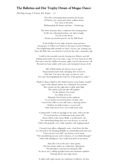#### The Ballerina and Her Trophy Dream of Mogao Dance

 $ESF$  King George V School, Wu, Kasper - 12

The ashes of burning dunes portrays the beauty Of history, for a thousand catties, million stories Too close to the fame Withstanding all climate and time  $-$  Dunhuang.

The stress of pointe shoes compresses the strong passion In life, for a thousand pretties, one dance trophy Too far to the dream Dream my peerless practice on the Silk Road.

In the Endless Sea by ships of desert, long and slow Pacing pace to follow my Polaris to the dance recital of Mogao The lengthening tulle remarks no short-cut for a go, waiting a go Since the little tutu ever desired to reach for the stars, a long time ago.

I walk by the emerald crescent, bearing new blisters, and old Sinking sand noshes my every steps, a tug-of-war, tired never told Not easy I win the chiffon of moony night, wait for the breezes' call Reward my bony ankles with caress and champion's dream of all.

Slits of flash dazzle my drowsy eyes to open Emancipated mural souls, springing alive in heaven And said, "Get up to the stage, no time to wait For your choreographing the Gateway of the grottoes, today."

"Shall we dance? Shall we fly? Shall I borrow your feather wands?" I gaze at the Apsaras before me, waiting for her promise She coaches me the right time to grab, grab tight The softest scarfs and take off together To the farthest of no name. In a blink of an eye-Elegantly I bend back on the rainbows To see perfect inverted beehives of faith, who Carved into cliffs on very still water, a dancing mirror Reflects my faith in dance, as you teach Only with sincere love can I really learn well.

Continuously I swift my leg high to my wrist, with your lift To touch pinches of windswept rocks, pains drift Across debris of the Great Walls, a recollection's call For chronicling things that were not all roses, as you tell Only with gratitude can I really manifest a life staging journal.

I learned your silken calligraphic note, a bolt from the blue Is a farewell to the Sleeping Buddha in a pyramidal tomb and you? "Cheer up for every fall," my dearest coach wrote, "The smouldering incense end is calmness, if, you think through." Only with intelligence can I really beat jitters in my shoes.

And after I sit on the nine-story grotto The first sunray strikes on a faded face, illuminates The blessing to caravanserais along the Silk So clever am I, rolling up light beams into rhythmic sparklers Turning silence into stage cheers.

A zither and a pipa narrate my sentiment overflown, oh dear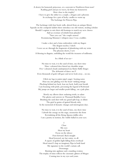A dowry for homesick princesses, or a souvenir to Northwest from tears? Rattling grief and joy in waves, far from my hometown How close to the trophy? I have to give the zither to a couple, a dragon and a phoenix In exchange for a pair of lucky candles to warm up The backstage for Princess Pipa.

The backstage with four book walls, altered from an antique library Squeaks on the centipede ladders there introduce me old visitors, stealing scholars Should I cogitate to mix their old footsteps to match my new choreo Add an overture of rebirth from plunder? "Sure you can." the couple assured Reminiscing Mommy's whispers since I was a toddler.

I make a deer and a lotus embroidery with my fingers The dragon teaches, I stitch I wave an arc through the fragments of plundering with my wrist The phoenix shows, I sew A blessing in disguise, unfolding the world the treasures of millennia.

In a blink of an eye-

No time to wait, it is the sand of time, my show time Nine-coloured deer furred my shoulder straps Five-coloured clouds underpinned my flutter fluffy fringes The alchemist of dance am I? Even thousands of gods will gaze and never look away... on me.

I flick my legs to patter pipa's angry-looting notes Hear my arm gliding over the heart-striking strings Plucking behind my back, lean my back, hold your breath I am beaming with pride, percussing the legend of Rebound My jumps are larger and smaller pearls falling...on a jade plate.

Slowly my elbows draw enduring twirls, to salute The glories and sorrows in Thousand Buddha Caves Brushing the sand dust with my grand split leap, to dilute The grief in grains of ignited bloody ruby In the memorial of dynastic changes and interregnum days.

No time to wait, it is the sand of time, my show time I absorb the energy on the stage, mesmerize the front Revitalizing all the flying Apsaras riddles alive I am a poetry in motion, the visible ballad in your eyes.

#### I

#### Close

My eyes Hear my heart Focus on the silence Foot forward. Back straight Head lowered, my last curtsy, to all. A square of golden light falling from overhead Head raised I clasp an imaginary Pipa in both hand My signature to the world's curtain call. Downstage. Bursting into applause and a standing ovation The trophy of mine reflects the cinematic glitters of Mogao Coming true in my eyes and yours.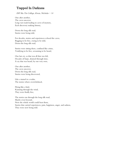# Trapped In Darkness

ESF Sha Tin College, Kwan, Nicholas - 14

One after another, The caves uncover, Long vast roads leading to caves of mystery, Each discovery making history,

Down the long silk road, Stories were being told,

For decades, stories and experiences echoed the caves, Begging to be free, crying to be told, Down the long silk road,

Stories were sitting there, confined like crime, Testifying to be free, screaming to be heard,

One last cry, as that was all that was left, Decades of hope, drained through time, A cry that was heard, by our very own,

One after another, The caves uncover, Down the long silk road, Stories were being discovered,

Like a tunnel to a realm, The stories where overwhelmed,

Flying like a bird, Running through the wind, They were finally free,

The stories ran through the long silk road, Maybe even beyond, Now the whole world could hear them, Stories that carried experiences, pain, happiness, anger, and sadness, They were now being told.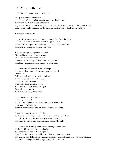# A Portal to the Past

ESF Sha Tin College, Lee, Rosella  $-13$ 

Mò gāo, meaning none higher. A collection of caves and crevices crushing together to create A beautiful chest, full of magical wonders. A grotto that doesn't reach any higher, but still stands tall and looming by the mountainside. Layers of clay and dust gather by the entrance, but that's just what begs the question.

What's it like on the inside?

A grid-like structure with the crimson paint peeling from the sides. The paint makes you wonder, what has happened to it? A beautiful tardis, preserved perfectly with the piercing desert heat. An entrance waiting for you to go through.

Walking through the opening of a cave, Like walking through a time machine. In one era then suddenly in the next. You feel the familiarity of the Modern Era peel away. Skin bare, stepping into something new and exotic.

The caves take off your thick coat of the present, And the further you travel, the more you get dressed. One by one. Taking in each and every artefact passing by. A Hebrew scripture from the 1000s, A Tipitaka from the 400s, A Bhudda's head from the 1500s, An aroma of colours overwhelms you. Inscriptions and scrolls. As you stroll through the tunnels.

It seems like the further you enter, The longer the road. And so down and down the Rabbit Hole of Rabbit Holes You venture further into. Far from a wonderland, but still giving you the same high.

You see monks painted on the walls, Eyelids closed, making you dare not make a sound to wake them. Traditional Chinese instruments emulsified in the walls, The muffled tunes of the Gǔqín echoing through the halls.

The light of the paintings end near the opening of the tunnel, As the outside world beams you blindly. And suddenly, you're back in the present. Something sinks on your shoulders, wanting you to go back inside. Though the knowledge of knowing and going through millennials of artwork and artefacts, Can easily outweigh the desire to go through it once more.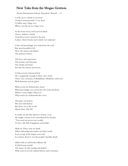#### New Tales from the Mogao Grottoes

French International School, Punyakoti, Namish - 13

I woke up to a throb in my head I looked around positive I was dead I'd fallen into a huge cave Where awe hit me in a huge wave

As the beam of my torch moved about I knew without a doubt I had discovered a tunnel to the past A place where beauty and wonder was surpassed

Color and knowledge was etched into the wall But most beautiful of all Were the statues and shrines The patterns of lines

The faces and expressions The posture and obsession The details and hours Put into the statues and towers

I'd discovered a historical find On a magnitude enough to blow one's mind There were remnants of Buddihsim, Hinduism, and more With literature and art galore

What secrets lay behind these doors What knowledge was carved into the roofs and floors Whose secrets might I discover? What stories lie underneath this cover

This place of mystery Was lost with history But there was a tale to tell About those who fell

A monk was the first observer of these caves He taught a lesson to be remembered for decades "You need not power nor wealth To live a life full of happiness and health"

Made by Three sixty six hands Filled with politicians,traders and their stands It sat on top of the largest cross road In a barren desert it was the people's humble abode

Filled with art and books millenia old It held lessons untold The home of early trading and politics With roots in several cultural history and economics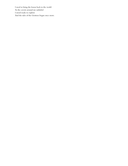I need to bring the lesson back to the world As the cavern around me unfurled I stood ready to explore And the tales of the Grottoes began once more.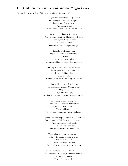#### The Children, the Civilisations, and the Mogao Caves

Harrow International School Hong Kong, David, Antonin  $-12$ 

Do you know about the Mogao Caves That Buddhist, Greco-Indian place? I do because I went there, That beautiful lair, Where monks prayed at the mountain's base.

Why yes I do, because I'm Indian And we were part of the Silk Road back then. Anyway, what's your name? My name is Trame Where are you from, are you European?

Indeed I am, Indeed I am, My name's Samuel short for Sam I'm Italian Nice to meet you Indian My preferred book is Green Eggs and Ham.

Speaking of books, Trame poshly replied, In the Mogao Caves, many books lie, Books of philosophy, Science and history, But first I'll tell where the Mogao Caves lie.

I know this one, said Sam, in Asia In Dunhuang, Jiuquan, Gansu, China The Mogao Caves lie Tall, proud and high, But they're much more than some caves in China.

According to history, long ago There was a China-to-Rome-road, It was rich with tradition, There civilisations, Traded and communed on the Silk Road.

Trame spoke, the Mogao Caves were on that trail And because the Silk Road went everywhere, There was Hebrew stuff inside Taoist, Greek stuff resides And many more cultures, all lie there.

You do know, cultures get mixed up, Like coffee added to milk, in a cup And because of this, This cultural haven was bliss For people who wished to go to that cup.

People must have brought art with them too And inventions of course, some old some new. Of course! Sam cried, That is the reason why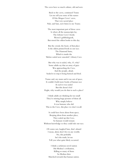The caves have so much culture, old and new.

Back to the caves, continued Trame Let me tell you some of the names Of the Mogao Caves' caves, That very sacred place Nah, said Sam, now listen to me Trame.

The most important part of those caves Is where all the manuscripts lay, The Library Cave's books Weren't gobbledygook, But stored the oldest books to this day.

But the crystal, the heart, of that place Is the oldest printed book in our race. The Diamond Sutra, Which is inside the 'Before sealed now unsealed', Library Cave.

But why was it sealed, why, O, why? Some adults say that an army of guys Was approaching the Cave, And the people, afraid, Sealed it to stop it being burned and fried.

Trame said, my mum said it ran out of space, It couldn't hold more books of human race As such it was sealed But this doesn't feel Right, why would you do that to such a place?

I think adults are thinking far too small They're missing huge pictures of them all. Why simply believe It was humans who did This to the Cave, this place we don't recall.

It could have been aliens from space, Beeping aliens from another place, They sealed up this Cave, So humans would remain Without knowledge so they could rule our race.

Of course not, laughed Sam, that's absurd I mean, aliens don't live in any worlds. No, this probably Isn't the truth, let me Tell you what quite likely occurred.

I think a nefarious novel nation Hit Medusa's civilisation, Killing so many of them So Medusa then Marched towards that human nation.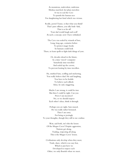As monstrous, malevolent, malicious Medusa marched, her plans merciless It was to seal the Cave To punish the human race For slaughtering her kind which was vicious.

Really, jeered Trame, is that what you think? That's pure silliness, you silly bink-link, That is so far off Your dad would laugh and scoff At such a concept, now I have rethinked.

The Cave was sealed by wizards of lore, Long, long ago, centuries before To protect magic books So humans could look There, to learn spells to fight dark things of yore.

> Or, decades ahead in the future, In a time-travel-computer Somebody time travelled And sealed up the cavern, To prevent looting by time travellers.

Ha, smirked Sam, scoffing and snickering, You really believe that? He said laughing, You have to be foolish To believe such silliesh Ideas, he said, sniggering.

Maybe I am wrong, it could be true But then I could be right. Can you Prove I am incorrect? No, so we should respect Each other's ideas, think it through.

Perhaps you are right, Sam mused, He was really rather bemused. Then I am sorry For being so jeeringly To your thoughts, though they still to me confuse.

Wait, said both, isn't this the lesson Of the Mogao Caves? Despite aggression, Nations get along, Trading, respecting all along This is the Mogao Caves' lesson.

Civilisations only develop when they meet, Trade, share, which is no easy feat, Which is just how we Developed to respect each Other, we only flourish when we meet.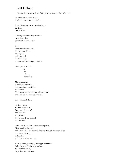# Lost Colour

Harrow International School Hong Kong, Leung, Tan Kiu  $-13$ 

Paintings on silk and paper but I am carved on solid rock.

An endless canvas that stretches from the East to the West.

Carrying the intricate patterns of the artisans that gave birth to my colour.

But my colour has dimmed. The sapphire blue, brassy gold, and lurid red illustrations of villages and the almighty Buddha.

Now specks of dust bit by bit… Decaying.

My heart aches as I tell you my colour had once been cherished and praised. Their eyes who beheld me with respect and caressed me with admiration.

Have left me behind.

As time passes, So does my age and I can only dream of and even so, very faintly. About how I was praised and treasured.

Until one day a door in the caves opened, Light shining through, and I could feel the warmth tingling through my engravings. And there the sound of footsteps and chatter of excitement.

Faces gleaming with joy that approached me. Polishing and shining my surface. And as they did so, my colour was restored.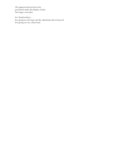The pigment had not been lost, just buried under the blanket of dust. No longer concealed.

So I thanked them, For giving me the hope and the admiration that I deserved. For giving me my colour back.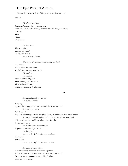#### The Epic Poem of Arcturus

Harrow International School Hong Kong, Li, Barton  $-12$ 

HATE:

Howl Arcturus' hate, Sinful and unholy, that cost his home Myriads of pain and suffering, that will cost his later generations Years of Fury Wrath Vengeance

Let Arcturus Drown and rot In his own blood In his own misery Howl Arcturus' hate.

The anger of Arcturus could not be subdued For he was Exiled from his own tribe Exiled from his very own family He seethed He loathed He would not forgive-Hate had reigned over him Hate had marred him Arcturus was rotten to the core.

Arcturus climbed up, up, up His callused hands Scraping Against the craggy, jutted mountain of the Mogao Caves Sand dripped down Wind roared Boulders clashed against the decaying desert, crumbling to dust upon impact Arcturus, though haughty and conceited, feared his own death His consciousness would not allow himself to die At least, not now. He had to prove himself to his Righteous, self-indulgent tribe He thought Leave my family's bodies to rot as feasts For crows For ravens Leave my family's bodies to rot as feasts. Arcturus' muscles ached

• • •

His sturdy body was sore, numb and agonized A hue of death and blisters swarmed over Arcturus' hand Prophesying imminent danger and foreboding That has yet to come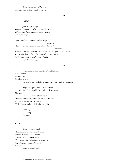Begin the voyage of Arcturus The despotic, dishonourable warrior.

• • •

RAGE:

Jeer Arcturus' rage, Felonious and errant, that deprived his tribe Of countless lives, plunging many victims Into hell's reign.

Who murdered children in their sleep?

Arcturus

Who set the tribesmen at each other's throats?

Arcturus

Charax's son and Otonia's, furious at his tribe's ignorance, offended, By the chieftain. Charax had injured Arcturus' pride; Seeing him unfit to be the future leader Jeer Arcturus' rage.

• • •

Sweat trickled down Arcturus' mottled face His body felt As if on fire, Burning, searing He looked up woefully, wishing he could reach the pinnacle.

Night fell upon the coarse mountain Arcturus sighed, he would not reach his destination Not yet.

He looked at the blood red moon, Listened, to the eery, ominous roars of the wind And took his last breath, before He let silence and the dark take over him.

> Sleeping Twitching Groaning

> > • • •

#### GUILT:

Scorn Arcturus' guilt, Which led to the tribesmen's demise $--$ Several banishments of victims The deaths of countless souls The disgrace brought about by Arcturus Son of the imperious chieftain, Charax Scorn Arcturus' guilt.

• • •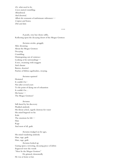Or, what used to be, Caves started crumbling, Abandoned, And deserted, Albeit the remnants of unfortunate tribesmen-- Corpses and bones, Dirt and dust.

• • •

A pearly, rosy hue shone softly, Reflecting upon the decaying desert of the Mogao Grottoes

Arcturus awoke, groggily After dreaming About the Mogao Grottoes Decaying Crumbling Disintegrating out of existence Looking at his surroundings-- A tree, swarming with maggots Arid climate Barren, deserted Patches of lifeless sagebrushes, swaying.

#### Arcturus squinted

Hesitated It couldn't be-Not after several years To the point of dying out of exhaustion It couldn't be… His home-- The Mogao Grottoes?

#### Arcturus

Still dazed by his discovery Plodded aimlessly His throat ached, eagerly desirous for water His mind lingered on his Exile The emotions he felt $--$ Hate Rage And most of all, guilt.

Arcturus trudged on for ages, His mind wandering aimlessly Hate, rage, guilt Hate, rage, guilt Arcturus looked up Gazing upon a towering, decaying piece of debris Engraved were the words "Here lie the Mogao Grottoes'' He grinned, dementedly He was at home at last.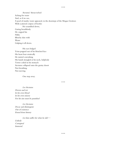Arcturus' throat itched Aching for water And, as if on cue, A pool of murky water appeared, in the doorsteps of the Mogao Grottoes With scattered corpses of beetles He scrambled down, Gazing breathlessly He cupped his Filthy Blotchy skin with Water

Gulping it all down.

His eyes bulged Veins popped out of his blotched face His heart beat erratically He started convulsing His hands strangled at his neck, helplessly Terror coiled in his stomach Arcturus collapsed onto the grainy desert Not breathing. Not moving.

One step away.

• • •

Let Arcturus Drown and rot In his own blood In his own misery For his sins must be punished

Let Arcturus Decay and disintegrate Out of existence Erased from history

Let him suffer for what he did--

Unholy Corrupted Immoral.

• • •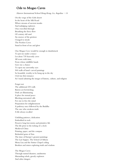## Ode to Mogao Caves

Harrow International School Hong Kong, Lu, Angelina  $-14$ 

On the verge of the Gobi desert In the heart of the Silk Road Where streams of ancient monks And indulging explorers Once travelled through Breathing the fierce flow Of century old sand An essence of the grottoes I longed to strode The Peerless Caves Stand in front of me and glow

One Mogao Cave would be enough to dumbstruck To put me under a trance Let alone 735 heavenly caves All worn with time, From whose infallible hands Gave me a chance To open my unworthy eyes 500 walls of hand-carved paintings So beautiful, worthy to be hung up in the sky I feel my first romance As I stand admiring the images of history, culture, and religion

Forget not The additional 235 walls Barren yet bewitching Dark yet illuminating A place for eternal peace Blocking unwanted calls For one to free the mind Preparation for enlightenment A pathway once followed by the Buddha The one who awakens truth A life always recalled

Unfailing patience, dedication Embedded in rock Preserve long lost stories and primitive life The life prior to the ticking of a clock Medieval China Printing, paper, and the compass Bedazzled gems of Asia The time of Europe's greatest paintings The Last Supper, The School of Athens Mona Lisa and the Sistine Chapel ceiling Brothers and sisters exploring truth and wisdom

The Mogao Caves Through natural disasters, sandstorms Marauding rebels, greedy explorers And other dangers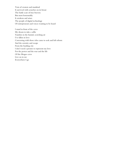Tests of creators and mankind It survived with scratches on its breast The battle scars of true bravery But most honourably It awakens and arises The people of digital technology Of entrepreneurs and voices wanting to be heard

I stand in front of the caves My dream to take a selfie Vanishes in the humid, scorching air I've fallen in love Conversing with those who came to seek and left reborn And the serenity and escape From the bustling city I don't need a picture to represent my love For the power and the roar and the life Of the Mogao caves Live on in me Everywhere I go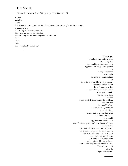## The Search

How long has he been here?

━━━━

Harrow International School Hong Kong, Yan, Yutong  $-13$ 

Slowly, stepping, luring. Allowing the heat to consume him like a hungry beast scavenging for its next meal. Draining away. Fabricating under the ruthless sun. Each step was slower than the last; his feet heavy on the deceiving sand beneath him. Days weeks months.

> (15 years ago) He had first heard of the caves as a young boy who would get into trouble for; digging up his neighbours' garden or making faces when he thought the teacher wasn't looking or throwing tiny pebbles at his classmates when they irritated him like red rashes growing on your skin when you've been sweating too much. On days like those his mother would tenderly tuck him in the stiff bed; the only bed they could afford. She would gingerly brush his tangled hair, attempting to use her fingers to comb out the knots. She would lovingly stroke his bruised face and tell the story her mother had once told her, of the caves, the ones filled with extraordinary relics; the treasures of those who came before. Her words flowed out of her mouth like a steady stream of water that soothed his restless mind and comforted his uneasy heart. But he had long neglected those stories. They're just myths after all; forgotten fairytales.

> > ━━━━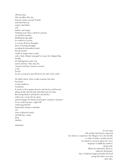(Present day) The cloudless blue sky formed a dome around Yuanlu and dried him up empty and hollow and hollow and empty. Nothing more than a shell of a person; an unoiled machine. Holding his lips tight he wanted to scream; to scream all those thoughts, those swarming thoughts invading his benumbed mind, but his mouth could no longer form words, only a faint whisper managed to escape his chapped lips. Finally, his shaking knees gave out, and he fell face-first onto the caramel sand that seemed to stretch so far. So.Far. So far it seemed to just fall down the side of the earth. He didn't know what would consume him first, the desert, or the loneliness. Loneliness. It seems to have gotten heavier and heavier and heavier; piling up like the dirt that had piled onto his skin. Becoming thicker and thicker and thicker with every vacant day he spent and his hunger for human touch grew and grew and grew. So he curled up into a tight ball embracing himself desperately trying to stimulate any sense of physical touch, and fell into a deep deep

slumber.

━━━━

(5 years ago) His mother had always expressed her desire to experience the Mogao Caves for herself, so when Yuanlu's mother passed, he started to research about the caves; desperate to fulfill his mother's dying wish. When he told others about it; which he did plenty, they would just laugh and shake his head saying that those were just fairy tales.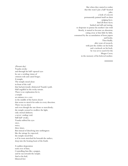But when they started to realize that this wasn't just a half-hearted joke, a look of concern permanently painted itself on their judging faces. And all those faces; hushed and still and staring. so desperate to pursue his mother's last wish Slowly, it started to become an obsession; eating away at him little by little, consumed by the accumulation of loose papers and books. Then finally, after years of research, with just the clothes on his body and a rucksack on his back, he was set to search for the Mogao Caves; in the memory of his beloved mother.

━━━━

(Present day) Yuanlu awoke and through his half-opened eyes he saw a swirling vision of crimson reds and camel beiges. A temple. The temple stood alone in front of the wall that had previously obstructed Yuanlu's path. Half engulfed in the rocky terrain. There is no explanation for it, a temple an entrance to a cave in the middle of the barren desert that seems to stretch for miles in every direction. There was no door and even though the sun shone so mercilessly; the temple seemed to swallow the light, only eternal darkness; a never-ending void. Still half-awake, Yuanlu rubbed his eyes once, twice, three times. But instead of dissolving into nothingness like the mirage he expected, the temple stood firm as if its roots stretched far beneath the surface, deep into the beating heart of the Earth. A sudden desperation

took over of him; Controlling him like a puppet, and he ran towards the temple. And as his frail, blistered feet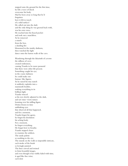stepped onto the ground for the first time, he felt a wave of shock overcome his body. Had he been away so long that he'd forgotten how it felt to touch of a solid surface? He called out into the dark and the only thing he was greeted back with, was his own voice. He reached into his frayed pocket and took out a matchbox. As he removed a match from the box, a dazzling fire blossomed in the murky darkness, then watched the light dance onto the barren walls of the cave. Wandering through the labyrinth of caverns the stillness of caves created restlessness, causing Yuanlu to be more paranoid that there were other life present. Something caught his eye; in the coarse darkness he could make out human-like figures. As he raised his tiny match it suddenly explodes into a mammoth bonfire, soaking everything in its brilliant light. Yuanlu winced as his eyes slowly adjusted to the dark, and saw time-worn statues looming over his trifling figure. Deities frozen in time unblinking eyes that observed all that happened, and for a moment, Yuanlu forgot his agony, he forgot his desolation his aching body. For a moment, he forgot everything. He forgot how to breathe. Yuanlu stepped closer to examine the artifacts. The sandy palette so soothing to the eye. The murals on the walls so impossible intricate, each stroke of the brush so lovingly painted. The lines curved and twisted to form beautiful images, and even though it has visibly faded with time, it aged like fine wine;

each dent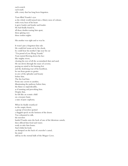each scratch each mark tells a story that has long been forgotten.

Tears filled Yuanlu's eyes as the whole world turned into a blurry mess of colours, with every beat of his heart it grew louder and louder and louder. He had finally found it, all those doubts tearing him apart, those glaring eyes those restless nights.

His mother was right and so was he.

It wasn't just a forgotten fairy tale. He could feel warm air by his cheek, he could hear his mother's lips near his ear "I'm proud of you Wang Yuanlu" Tears started flowing down his face like mighty rivers, clearing his eyes of all the accumulated dust and sand. He ran down through the maze of caverns; paying no mind to his burning feet and the deafening roar of his heartbeat, he ran from grotto to grotto in awe of the splendor and beauty before him. The fire lead him From one cavern to another, illuminating the pathway before him; the flame so unpredictable, as if taunting and provoking him. Despite that, he felt like an ecstatic child on a treasure hunt; a state of pure euphoria.

When he finally resurfaced to the empty desert, a group of travelers spotted a sluggish speck on the horizon of the desert. Too exhausted to talk, the travelers hauled Yuanlu onto the back of one of the laborious camels, then offered him food and water; ready to take him home. And whilst his body sat slumped on the back of a traveler's camel, his mind still lay in the eternal halls of the Mogao Caves.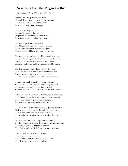#### New Tales from the Mogao Grottoes

#### Heep Yunn School, Shing, Yee Isis  $-14$

Magnificent cave, perched on a desert. Abounded with uniqueness, as the monks assert. Thousands of pilgrims took the advice, As to view it with their own eyes.

The devotees dug their cave, And decided to stay, they pave. People created sacred arts and literature, Knowing that pieces looked like no other.

But time elapsed and years passed, The Mogao Grottoes were soon never asked. It was no more than an arenaceous legend, That anyone could have forgotten in a second.

Yet someone has rediscovered this extraordinary cave, The breath-taking secrets were unlocked by the brave. Hundreds of caverns were revealed upon them, Paintings, sculptures, and literature sparked like a gem.

Howbeit the most astonishing one was the statue. They knew it was ancient but it looked brand new. It appeared to be majestic yet serene and ancient. The Buddha stood before them with preordainment.

Abruptly the sand on the floor started to whirl, And an archaic book was then revealed by the swirl. The scholars felt as if they had time travelled, Were destined to see the lost secrets of the past unravelled.

Taken aback by the real reason for Mogao's disappearing, They found that the book was a diary that was missing. It recorded all the deepest secrets of the place, And witnessed the vicissitudes of the face.

The place was deserted because of two gigantic creatures, Which were reluctant to let through the preachers. They guarded the cave like it was a treasure, And slaughtered the pilgrims since they had displeasure.

Diarist advised the monks to pause their coming, But they were here to cease the creatures from thrumming. Therefore, myriads of tragedies occurred, They finally took the diarist's word to stop the absurd.

"Never challenge the nature," he said, "It will just lead you to dread." If only the travellers had listened to the diarist, Their lives could have been cherished.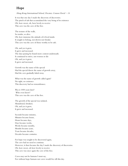# Hope

Hong Kong International School, Decatur, Connor David - 14

It was that one day I made the discovery of discoveries. The pinch of salt that accumulated the very being of its existence Oh, how sweet, oh, how lovely to receive This cave was the cave of the free.

The texture of the walls, So tender, so alive. Oh, how immense the attitude of it lived inside. It sought to belong, not drown nor forsake This cave was the cave of those worthy to be safe.

Oh, and yes it grew, It grew and increased. The days passing by found more context underneath. It continued to strive, not worsen or die Oh, and yes it grew, It grew and increased.

Growth was the name of the special Had the special throw the name of growth away, Had the cave gradually faded away.

What was the name of growth called again? No sight, no existence This discovery had no remembrance.

Was it 1000 years later? Who even knew? This cave was the cave of the free.

The growth of the special was isolated, Abandoned, forsaken. Oh, and yes it grew, It grew and increased.

Seconds became minutes, Minutes became hours, Hours became days, Days became weeks, Weeks became months, Months became years, Years became decades, Decades became centuries.

For hope was sought to be discovered again, The cave had no need to continue. However, it then became the day I made the discovery of discoveries. Oh, how sweet, oh how lovely to receive This cave was once again the cave of the free.

Caves may not be humans I must say, For without hope humans nor caves would live till this day.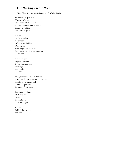# The Writing on the Wall

Hong Kong International School, Mei, Mollie Yufan  $-13$ 

Stalagmites shaped into Humans of stone, Lampblack ink made into Art and scripture on the walls-Faded but still there, Lost but not gone.

Yet art barely scratches the surface Of what was hidden On purpose, Shielding unwanted eyes From the things that were not meant To be seen.

Beyond safety, Beyond humanity, Beyond the present. Backstage, They hide The pain.

My grandmother used to tell me Forgotten things are never to be found, And how one man's trash Could not possibly Be another's treasure.

Once upon a time, I believed her. Now? I don't know That she's right.

A voice Behind the curtains Screams.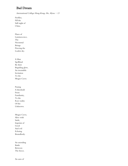# Bad Dream

International College Hong Kong, Ho, Alyssa  $-13$ 

Fireflies, Fill the Still night of China.

Flares of Luminescence, The Nocturnal Beings Piercing the Leaden sky.

A Man Spellbind By their Beguiling glow, An irresistible Invitation To the Mogao Caves.

Passing A threshold From Familiarity, To the Raw reality Of the Unknown.

Mogao Caves, Alive with Strife, Imprints of Good And evil Echoing Boundlessly.

An unending Battle Between The forces.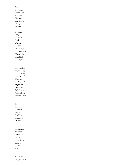Fear Crowned Upon him, And the Warning Rhythm of Danger Invades. Demons Lunge Towards the Soul, Unseen To the Naked eye, Yet prevail in Mankind's Troubled Thoughts. The fireflies, Engulfed by The viscous Shadows of Blackness, Lifeless fireflies Engraved Onto the Indifferent

Mogao Caves. But Impermanence Remains In the Ruthless

Walls of the

Triumphs Of evil.

Ambiguity Awakens Mankind To the Victorious Rise of China's Sun.

Above the Mogao Caves,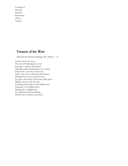Cascades of Warmth Heal the Bad dreams Of the Chinese.

# Treasure of the West

International School of Beijing, Ma, Andrew  $-13$ 

Far far away in the west, The city of Dunhuang lies at rest. Long ago a treasure was buried, Through myths and legends it was carried. Deep in the caves the treasure lies, Those who seek it will meet their demise. Through the crevices into the caves, For those who linger it'll become their grave. Millions of men seek the loot, Searching desperately for the hidden fruit. Long ago it was hidden there, Waiting for its rightful heir. For millennia it laid sunbathed, Till this day it remains unscathed.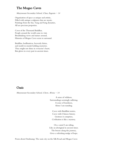## The Mogao Caves

Marymount Secondary School, Chan, Eugenia - 14

Organisation of space as unique and artistic, Filled with antique sculptures that are mystic. Paintings from the Sui, Tang and Song dynasties, All are precious properties.

Caves of the Thousand Buddhas, People around the world came to visit. Breathtaking views and statues around, Histories of Mogao Caves seem to surround.

Buddhas, bodhisattvas, heavenly fairies, and motifs in murals holding mysteries. They might not shine in everyone's heart, But glows in every part in ancient times.

#### Oasis

Marymount Secondary School, Chow, Alvina  $-14$ 

A sense of wildness, Surroundings seemingly suffering. A sense of loneliness, Alone I am standing.

Caves with Buddhist stories, Caves with Chinese history. Grottoes it comprises, Civilisation is like a mystery.

On a camel I am riding, Like an aboriginal in ancient times. The breeze along the journey, Gives a refreshing nudge of hope.

Poem about Dunhuang: The oasis city on the Silk Road and Mogao Caves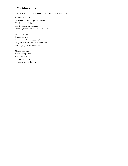# My Mogao Caves

Marymount Secondary School, Tsang, Ling Hei Angie - 14

A grotto, a history Drawings, statues, scriptures, legend The Buddha is sitting The Bodhisattva is standing Listening to the pleasant sound by the pipa

In a split second Everything in silence Is someone talking about me? My journey spread into everyone's ears Full of people worshiping me

Mogao Grottoes A profound poetry A salubrious song A honourable history A measureless mythology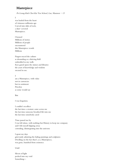#### Masterpiece

Po Leung Kuk Choi Kai Yau School, Lau, Shannon - 13

I

was hauled from the heart of virtuosos millennia ago Carved into slabs of rock, a dust-covered Masterpiece.

I housed Millions of stories. Millions of people encountered this Masterpiece worth Millions

Fingers traced the culture as abounding as a thriving field embedded in my walls Eyes gazed upon the statues and libraries the years of knowledge and wisdom encased in me.

#### I

am a Masterpiece, with value not in currencies but in sentiment Priceless as some would say

#### But

I was forgotten.

I couldn't recollect the last time a creature came across me the last time someone breathed life into me the last time somebody cared

Time passed me by I was left alone, with nothing but History to keep me company and I felt myself slipping away corroding, disintegrating into the universe

I spent my days grievously admiring the fading paintings and sculptures Dwelling on the fact that I, as a Masterpiece, was gone, banished from existence.

#### Until

Slivers of light peeked into my void Something—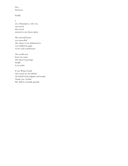#### No— Someone.

Finally.

#### I

am a Masterpiece, who was uncovered discovered restored to my former glory.

My sorrowful heart was unravelled The silence I was habituated to was muffled by gasps of awe and wonderment

The world now knew my name The deserved prestige Finally in my palm

It was Wang Yuanlu who tossed me the lifebelt. On behalf of the pilgrims and monks Thank you, Yuanlu We shall be eternally grateful.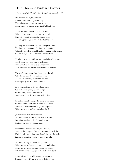### The Thousand Buddha Grottoes

Po Leung Kuk Choi Kai Yau School, Ng, Isabella - 12

In a mystical place, far, far away Hidden from both Night and Day His prying eyes, meant for none to see There once was a cave where the Buddha lived.

There once was a man, they say, as well Who built the cave after he said they'd tell Him, his soul, of what the far future held: The past, present, and who'd stand at the helm.

(By they, he explained, he meant the great One; The One who was near; the One who was far.) Where he preached in golden glory, radiant in his prime And warned, not yet  $-$  now was not the time.

This he proclaimed with such melancholy as he grieved, Struck upon his sweet face as he heaved, Like damasked red roses, said a wise man -That once was yet lost its tentative touch by hand.

(Flowers' scent, stolen from his fragrant breath Why did the sun above, his fiery eyes? The colour of coral, dyed from his lips Where pretty pearls of ivory stood tall and fair

He swore, Adonis in the blood and flesh Was not half as pretty as him, my prince As his beauty, famed, did evince Numbness; mere shadows imitated in death.)

All of this passed through the mind of the man As he stood in dumb awe in front of the stand Up where the Buddha sat, high on his plinth Where once, the soul of a man had lived.

(But after the first, curious vision More came free from the dark bars of prison One after another under the shining sun, Lasting ever after as History spun.)

Fear me not, they murmured, one and all, "We are the bringers of time," they said in the halls. Until decades later, they were heard through the walls, Enshrined with the beauty of him at his call.

More captivating still were the pictures of art, Where of Nature's grace he inscribed on his heart, Threw down his luxury and left down his cart Filled with mortal baggage at the castle with bards.

He wandered the world, a gentle white dove, Compassioned with sharp wit and delicate love.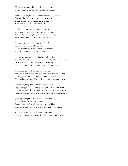His famed weapon, the tranquil peace he brought To ease out the sins that the net of Men caught.

Everywhere he preached, and everywhere he taught  $-$ Flowers, they grew where men knew naught. Beauty hidden in the fragile masks within Were unveiled, cast, 'neath the heels.

So the man, unmasked to see such in a haze, Built up a grotto through his dreams in a daze. And all that came by, from closer or further away, Exclaimed, "The soul of the Buddha still stays."

Yet now, we must ask, was that really it? For the years went by, bit by bit  $-$ There it lay in the desert, blown over by sand, What those in their pilgrimage built by hand.

The statues and carvings and paintings from distant lands, And literature, those books! written in brilliant fervour, an expanse, Of areas sketched, details captured in wordings of eld; But gathered in dust, yet to be blown off, unfulfilled.

An abundance of art, a magnificent library, Bibliotecas, tomes, and opuses  $-$  more than one could carry. (Could jewels rich in culture stay 'till distant now? The mighty scabbard of Strength; the carved wooden bow.)

Crumbling, forgotten, mildewed treasure lost In glittering gold and dazzling diamonds, not without a cost And now dozens flock to sight the Thousand Buddha Grottoes Where the statues come to life, where the paintings are aglow.

(Those puzzle pieces of hopes, of a faraway mirage, Shattered and dashed into pieces of ash, In conflagrations lost with the workings of Time -Tick, tock, goes his scythe, and so do brazen bells chime.)

And even as the decades of musty years bray "Fate and kindness are of equal weight," as the Buddha says.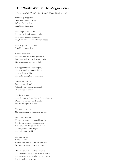### The World Within: The Mogao Caves

Po Leung Kuk Choi Kai Yau School, Wong, Matthew  $-13$ 

Stumbling, staggering Over a boundless, vast sea Of irate Sand jarring. Stumbling, staggering.

Blind steps in the callous cold, Ragged cloth and waning resolve, Sleep deprived, rest forestalled. Fragile warmth- monk's humble abode.

Sadistic grit on tender flesh. Stumbling, staggering.

A flood of ecstasy, Buoyant burst of rejoice, jubilance! In dusty sea all so heartless and hostile, Lies a sanctuary, an oasis so lush!

He staggered into Trāyastriṃśa, The vibrant glow of emerald life, A light, deep within The unforgiving Sea of Darkness.

Many suns have set, In this island of verdure, Where he desperately scavenged, determined to endure.

Yet this was bliss, After the trod and stumble in the endless sea, One not of the soft touch of silk, But the biting frost of sand.

Yet now he ambled. Not stumbling, nor staggering, carefree.

In this lush paradise, He came across a cave so cold and damp, Yet devoid of malice or contempt. A radical, primal urge for the monk To bring forth a fire, a light, And delve into the black.

The fire was lit, A gasp let out. Whimsical stumble into treasure trove, Preciousness worth more than gold.

Over the span of countless centuries, The cave drew people like flame to moths, And the cave at last was homely and warm, Revelry as loud as storms.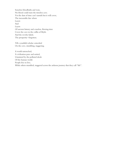Senseless bloodbaths and wars, No blood could stain the timeless cave. Yet the dust of time can't tarnish but it will cover, The inexorable fate where Layers And Layers Of ancient history and ceaseless, flowing time Cover the cave in the coffin of Myth. And the revelry faded, The prosperity-forgotten.

Till a youthful scholar coincided On the cave, stumbling, staggering.

A world untouched, A civilisation pure and united, Untainted by the polluted ideals Of the human world. People free to live, While others stumbled, staggered across the arduous journey that they call "life".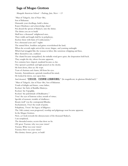## Saga of Mogao Grottoes

Shangahi American School - Pudong, Jain, Neev - 13

"Man of Tabgach, clan of Xian-Bei, Son of Bahamut. Dismantle your dwellings, build a shrine. Reject Hindrance and acknowledge clines! Put aboard the sprout of Shakya's, into the shrine. The shrine you are to build Shall have a thousand' enlightened ones, Their width and length shall be in polyphony, Enclose them with hints of Confucianism." For a thousand years and 7 nights The mistral blew, boulders and grime overwhelmed the land; When the seventh night arrived the sweat, fatigue, and yearning onslaught Which had struggled like the woman in labor, like notorious whipping and fines, Blew themselves out, confined. The chattel became tranquilized, the imhullu wind grew quiet, the desperation held back. They sought the sky; silence became apparent, For centuries have elapsed, mankind became as clay. One opened a porthole and light poured on his cheeks. He bent down, then sat. He wept. Tears of charisma and charm, fell from his eyes. Serenity, Astonishment, quietude transfixed his mind, He looked far down, eyes upon him; And shouted, "它的壮丽, 它的辉煌 让我眼花缭乱!" (Its magnificent, its glorious blinded me!)." "Man of Tabgach, clan of Xian-Bei, Son of Bahamut. Youth of delight and future, come hither, Reckon' the Stele of Buddha Maitreya. Reckon' the Vajrapāṇi, Reckon' the pulchritude of Bodhisattva." Twas' the eyes of lustrous ocher; mouth of virtue; Speckle of memoir; twinkle of ebullience. Beauty itself' was the contrapuntal Bhudas; Enchantment, Twas' the result of purity. Polyphony, Twere' the legacy of diligence. The 14th century soon progressed, worship and pilgrimage soon became apparent, In the Mogao Grottoes. Now, as I look towards the idiosyncrasies of the thousand Shakya's, I am nonplused, The shrouded stories; secrets that show no lie. Oh' great: Yuezun; why was your vision? Yuezun; What was your vision? Yuezun; How was your vision? Was destiny chosen, given, or built?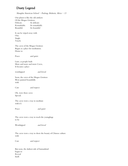# Dusty Legend

Shanghai American School - Pudong, Bolstein, Alicia - 13

Our planet is like the old artifacts Of the Mogao Grottoes. Delicate. So delicate. Remarkable. So remarkable. Beautiful. So beautiful. It can be wiped away with One. Single. Touch. The caves of the Mogao Grottoes Began as a place for meditation. Home to Peace and quiet. Later, as people built More and more and more Caves, It became a place worshipped and loved. Soon, the caves of the Mogao Grottoes Were painted beautifully with Care and respect. Oh, were these caves Special. The caves were a way to meditate with it's Peace and quiet The caves were a way to teach the younglings to be Worshipped and loved The caves were a way to show the beauty of Chinese culture with

Care and respect

But soon, the darkest side of humankind began to Reveal Itself.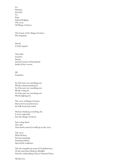Us. Humans. Decided. To. Stop. Acknowledging. The caves. Of Mogao Grottoes.

The beauty of the Mogao Grottoes. Was forgotten.

Merely A dusty legend.

That held treasures, Stories, And the beauty of humankind Inside all the caverns.

All. Forgotten.

As if the past was something not Worth commemorating for. As if the past was something not Worth caring for. As if the past was something not Worth fighting for.

The caves of Mogao Grottoes Had not been touched since the Silk Road had ended.

Humans thinking everything else Is more important than the Mogao Grottoes.

Not caring about The sand That slowly started to build up in the caves.

The caves With all those Precious paintings, Amazing artifacts, Spectacular sculptures.

Like the magnificent mural of Avalokitesvara, Or the marvelous Maitreya Buddha, And the confounding Chinese Diamond Sutra.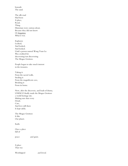beneath The sand.

- The silk road Had been A place, Road, Thing Historians were curious about. Because they did not know Or forgotten What it was.
- Explorers Looked, And looked, And looked. Until a person named Wang Yuan Lu Was credited for discovering/not discovering The Mogao Grottoes.

People began to take much interest in the treasures.

Taking it From the sacred walls, Stealing it From the magnificent cave, Breaking it From its home.

Now, after the discovery, and loads of drama, UNESCO finally made the Mogao Grottoes a world heritage site. Making sure that every Detail, Care, And love still there Is kept safely.

The Mogao Grottoes Is like Our planet.

Earth.

Once a place full of

peace and quiet,

A place That was

Worshipped and loved,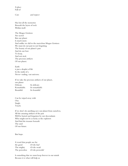A place Full of

Care and respect

Has lost all the memories Beneath the layers of rock Within itself.

The Mogao Grottoes Are sacred But our planet Is much more. And unlike we did to the marvelous Mogao Grottoes We must do our part in not forgetting The beauty of our planet's past And do our best To keep, And not steal, The precious artifacts Of our planet.

Earth is just a droplet of life In the midst of a Never-ending, vast universe.

If we take the precious artifacts of our planet, our planet Delicate. So delicate.

Remarkable. So remarkable. Beautiful. So beautiful.

Can be wiped away with One. Single. Touch.

If we don't do anything save our planet from ourselves, All the amazing artifacts of the past Will be buried and forgotten by our descendants Who might not be as lucky as the explorers And find the treasure beneath The sand Of our future.

But hope.

A word that people use for the good Or the bad The mighty Or the weak The powerless Or the powerful

Is something that we must keep forever in our minds Because it is what will help us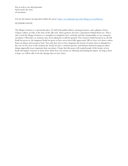Put an end to our old propensity And rewrite the story of our planet.

Cite for the history incorporated within the poem: [https://en.wikipedia.org/wiki/Mogao\\_Caves#History](https://en.wikipedia.org/wiki/Mogao_Caves#History)

#### AUTHORS NOTE:

The Mogao Grottoes is a spectacular place. It's full of beautiful artifacts, amazing treasures, and a glimpse of how Chinese culture was like at the time of the silk road. These grottoes also have a big history behind them too. This is why I used the Mogao Grottoes as a metaphor to emphasize how carelessly and how irresponsibly we are caring for our planet. Obviously, us, humans, have been taking the world for granted. The resources Earth has given us, the life Earth has given us, the happiness Earth has given us have never been fully appreciated. All we have ever done is taken from our planet and not given back. Not only that, but we have forgotten the beauty of nature that we disrupted as the way we live now in the modern day slowly became a common practice and humans started focusing on others things supposedly more important than our planet. I hope that this poem will remind people of the beauty of our Earth and inspire everyone to learn more about how our actions are affecting and hurting the planet. As long as there is hope, we will be able to fix the damage that we have done.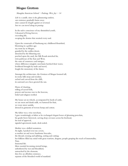## Mogao Grottoes

Shanghai American School - Pudong, Wei, Joy - 14

Life is a candle, time is the glimmering embers, our existence gradually burns away, time cannot be fought against or reversed, but we can travel along its passing.

In the naïve conscience of my diminished youth, I dreamed of living forever, exceeding life, escaping the demise that awaited every soul.

Upon the crossroads of Dunhuang my childhood flourished, blooming in a golden age; my roots lay in Mogao, guarded by the endless desert, drenched by the blistering sun; perched upon the sand, the Silk Roads stretched far, twin pathways of the East and West, the oasis of commerce and intrigue, where difference mingled, merchants hawked their wares; livelihood brought by trade and travel, fought the monotony of the dunes.

Amongst the architecture, the Grottoes of Mogao loomed tall, its rocky hills steep and resolute, etched and carved from the cliffs, its eastward cave faces greeted the sun.

Hums of chanting, tolling of sacred bells, prayers and incense rose to the heavens, belief and religion swelled.

My house sat on wheels, accompanied by herds of cattle, we ate meat and drank milk, we bartered for fruit, we wore straw sandals, dressed in garments of woven hemp and cotton.

My father was a wise merchant, I gaze wonderingly at father as he exchanged elegant boxes of gleaming porcelain, his gentle brow furrowed, carving deep crevasses across his forehead, his nod of approval, signaled agreements made, deals sealed.

Mother was a skilled seamstress, At night, I peeked over my covers, as mother sat and wove handsome brocades, the threads crossing and splitting, sorting and cutting; her folklore filled my mind with great warriors, dragons, people grasping the reach of immortality. Xian. Immortal life. Mere mortals becoming eternal beings, unbothered by war and bloodshed, untouched by the elements, they live an effortless existence, separate of the bloodied world of mankind.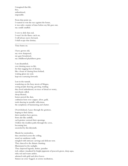I imagined that life, free, unburdened, impossible.

From that point on, I wanted to win the race against the hours, it was only a matter of time before my life goes out, my candle snuffed.

\_\_\_\_\_\_\_\_\_\_\_\_\_\_\_\_\_\_\_\_\_\_\_\_\_\_\_\_\_\_\_\_\_\_\_\_\_\_\_\_\_\_

I vow to defy that end, I won't let the flame catch on, I will always move forward, I shall escape that destiny.

Time burns on.

I have grown old, my view sharpened, my gaze broadened, my childhood playfulness gone.

I am dissatisfied, ever desiring more to life, for that nagging fear of demise, like a beast of chasing from behind, waiting glean my soul, kept me scurrying forwards.

Lost in the tumult, wandering on the busy streets of Mogao, seeing people dancing, greeting, trading; they lived unbothered, no trace of dread or worry, merchants called, sheep bleated, horses pawed the dust, craftsmen bent over copper, silver, gold, tools dancing in metallic reflections, the symphony of hammering and chatter.

Overwhelmed, I pace through the grottoes, hoping to find clarity; their numbers have grown, from afar like anthills, each grottoe yawned their openings. I follow the trodden paths through the caves, becoming lost, encircled by this labyrinth.

Murals lay motionless, they stretched across the ceiling, stood on sandstone walls, mingled with intricate carvings and delicate text; They danced to the distant chanting, Illuminated in the sunlight. They depicted legends, deities, paradise rich culture visualized by bright pigments of peacock green, deep aqua, ruby red and warm amber, adorned with gold and silver leaves. Statues sat cross-legged, in serene meditation,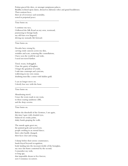Feitian graced the skies, or amongst sumptuous palaces, Buddha reclined upon daises, dressed in elaborate robes and grand headdresses. Their sentient faces, their air of reverence and neutrality, rested in perpetual peace.

Time burns on.

I continue my race, I followed the Silk Road on my own, westward, journeying to foreign lands. my old fears ever lingered, driving my nomadic life forward.

 $\overline{\phantom{a}}$  , and the contract of the contract of the contract of the contract of the contract of the contract of the contract of the contract of the contract of the contract of the contract of the contract of the contrac

\_\_\_\_\_\_\_\_\_\_\_\_\_\_\_\_\_\_\_\_\_\_\_\_\_\_\_\_\_\_\_\_\_\_\_\_\_\_\_\_\_\_

Time burns on.

Decades have swung by, carving crude canyons across my skin, wrinkles and scars, scattering like constellations, I have seen the world far and wide, I need not travel further.

Tired, weary, bedraggled, I lose the gaiety of laughter, I forget the grandeur of youth, I sink into contempt and cynicism, wallowing in my own ennui, doubting trust like a miser with hidden gold.

 $\frac{1}{2}$  ,  $\frac{1}{2}$  ,  $\frac{1}{2}$  ,  $\frac{1}{2}$  ,  $\frac{1}{2}$  ,  $\frac{1}{2}$  ,  $\frac{1}{2}$  ,  $\frac{1}{2}$  ,  $\frac{1}{2}$  ,  $\frac{1}{2}$  ,  $\frac{1}{2}$  ,  $\frac{1}{2}$  ,  $\frac{1}{2}$  ,  $\frac{1}{2}$  ,  $\frac{1}{2}$  ,  $\frac{1}{2}$  ,  $\frac{1}{2}$  ,  $\frac{1}{2}$  ,  $\frac{1$ 

 $\overline{\phantom{a}}$  , and the contract of the contract of the contract of the contract of the contract of the contract of the contract of the contract of the contract of the contract of the contract of the contract of the contrac

I can no longer move on. I slowly lose race with the hour.

Time burns on.

Abandoning travel, I trace the worn roads to my roots, to those soaring sandstone cliffs, and the deep caverns.

Time burns on.

Before the threshold of the Grottoes, I am again, this time I gaze with clouded eyes, balanced on creaky joints, shaky hands grasping the walls.

The murals again greet me, the painted gods and sacred text, people swirling in an eternal dance; their color hardly changed, their faces clear and young.

I slump before their serene countenance, hands frayed beyond recognition, body landing into the incessant trickle of the hourglass, my once fair frame contorted by the second; I remember my wish, so long ago, that impossible dream to live forever, now I reminisce in sorrow.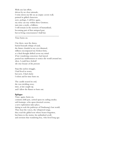With one last effort, driven by no clear rationale, I write down my life on an empty cavern wall, painted in gilded characters. now, perhaps, I will live again, my story can stay within these Grottoes; turn into a myth, a folklore, I will remain in the memory of humankind, becoming part of that antiqued past, but in living consciousness I shall last.

Time burns on.

I lay there, near the dunes, buried beneath whisps of sand, the future clouded as my eyes dimmed, stillness encompassed my broken form, as a final thought drifted across my mind: If my wandering conscience had stayed, paused my stubbornness to notice the world around me, then, I could have beheld the true beauty of the present.

\_\_\_\_\_\_\_\_\_\_\_\_\_\_\_\_\_\_\_\_\_\_\_\_\_\_\_\_\_\_\_\_\_\_\_\_\_\_\_\_\_\_

Stop this useless struggle, I had lived in worry, but now, I find clarity I relent and let time burn on.

The candle neared its end, the wax trickling away, time, at last caught up, and I allow the flames to burn out.

#### Epilogue

Time, again, burns on, centuries drift past, carried upon its curling smoke; soft footsteps, echo upon deserted caverns, a new exploration takes place, daring to seek the pathways of Dunhuang's lost world. They hear the voices, the whispered songs, they read the gilded text whose bearer forgotten, but listen to the stories, his unfinished scroll, and envision that wandering boy, who lived long ago.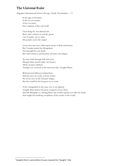## The Universal Ruler

Singapore International School, Kwong, Cheuk Yin Jonathan  $-13$ 

In the ages of dynasties, In the era of crusades, A boy was born, Into a baptism of fire and wrath.

Great things he was destined for, Born with a destiny to lead the greats,  $\operatorname{Can}$   $\operatorname{Temüjin}^1$  rise to unite His peoples across the steppe?

Lesser men may have relied upon armies of flesh and bronze, But Temüjin united the Mongolians Not through fear and death, But with tolerance and freedom, diversity and religion

An army built through skill and merit, Mongol tribes united under one banner, All his enemies subdued, Temüjin was crowned as the universal ruler, Genghis Khan!

With his loyal followers behind him, And his army of cavalry in front of him, He set his eyes on the Eurasian Steppe, But this would be his last great act to come.

A fire extinguished in the same way it was ignited, Genghis Khan died in his great conquests across China. And left Mongolia as a blazing flame that would expand even after his death. And taught the terrifying cacophony of his cavalry to the world.

<sup>&</sup>lt;sup>1</sup> Genghis Khan's name before he was crowned the "Genghis" title.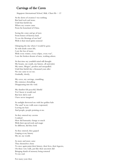### Carvings of the Caves

Singapore International School, Mak, Chun Ho  $-13$ 

At the dawn of creation I was nothing But hard rock and stone. Until that fateful day Where my creator came From his homeland of China.

Seeing the come and go of men From homes of faraway land. To see the blessings of our lord<sup>1</sup> With it their tired spirits restored

Glimpsing the day where I would be gone. As with death comes life, I saw the loss of many. With every winter, every eclipse, every war<sup>2</sup>, I saw the broken dreams of men, washing ashore.

At that time my youthful mind still thought My beauty, my youth, my history, all unrivaled, My name, Mogao<sup>3</sup>, peerless and unequalled. Until that fateful day a thousand years after No one came to see me. Gradually, slowly,

My caves, my carvings, crumbling, My existence dwindling Disappearing into the void.

My slumber felt peaceful, blissful Yet I knew it would end But how did it end I have never imagined.

As sunlight showered me with her golden halo The sand $4$  in my walls soon evaporated, Leaving me bare And people, people pointing at me.

As they entered my caverns I realised How did humanity change so much With their special tools and magic So different, did they look

As they entered, they gasped Gasping at my history My art, my world.

As more and more came They themselves chose To once again paint their history, their lives, their legacies, On these very walls, just like their ancestors did Bringing shards of memory being restored To my soul.

For many years then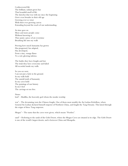I rediscovered life The brilliant, radiant green hue That beautiful smell of life. The sketches that was with me since the beginning Grew even broader in their old age Growing ever so wiser With their ever growing canvas Extending beyond the reach of our understanding.

As time goes on More and more people come Without knowing it They paint a piece of art everytime Breathing life into my walls

Proving how much humanity has grown Has progressed, has adapted, Has developed, From a tiny, orange flame To a red, glowing inferno.

The battles they have fought and lost The trials they have overcome and failed All recorded inside my walls.

So you see now, I am not just a hole in the ground. In my walls hold The untold truth of humanity In my caves hold The paintings of our history In me I feel The carvings set me free.

Notes:  $10<sup>1</sup> - Buddha,$  the heavenly god whom the monks worship

 $\text{war}^2$  – The devastating wars the Chinese fought. One of them most notably the An Lushan Rebellion, where General An Lushan declared himself emperor of Northern China, and fought the Tang Dynasty. This lasted through the reigns of three Tang emperors.

 $Mogao<sup>3</sup> - The name that the caves were given, which means "Peerless".$ 

sand<sup>4</sup> – Referring to the sands of the Gobi Desert, where the Mogao Caves are situated at its edge. The Gobi Desert is one of the world's largest deserts, and is between China and Mongolia.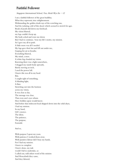### Faithful Follower

Singapore International School, Yan, Heidi Wye En  $-12$ 

I am a faithful follower of the great buddhas, What they represent; true enlightenment. Withstanding the golden death rays of the scorching sun, And the isolating cold of this desert which seemed to stretch for ages. Beads of pearls slid down my forehead. My vision blurred, my legs couldn't keep up. My body ached and wore me down But I had to continue, 'twas my life's motto, my mission. As I gave my all to push. A little more was all I needed. My legs gave their last and fell out under me, Gasping for air to breathe. Everything blurred, My mind, a mess. A white fog clouded my vision. Knowing there was a light somewhere, I dragged my numb body upwards, Barely moving an inch, I used the power left. I knew this was all in my head. But, I caught sight of something, A blinding light, A flare. Stretching out into the horizon across my vision, It was clear as day. The message was clear, That even one's eyes whom Have befallen upon would know. And before that iridescent bead dripped down into the solid abyss, I had my mission. In my hand, Life's essence. The labor, The patience, The purpose, Foretold.

#### And so,

With purpose I spent my years. With patience I worked them away. With punitive labour did I busy my hands, For I had my mission. I knew to complete I knew alone, my task would I fail to undertake, so I called out, told others word of the mission And Henceforth they came, And they labored,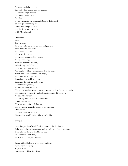To sought enlightenment. I'm glad others understood my urgency To praise Enlightenment, To follow their directs, To labor. To give effort to the Thousand Buddhas I glimpsed So perhaps, later in my life May I find Enlightenment, And be free from this world …Of Mortal recoil. Our blood, sweat. Our mission. All were endorsed in the caverns and patterns. Each fine dent, and curve Each swirl and carve, All the small, fine details. To make a wondrous big picture. All held meaning. Art with defined definition, Indeed a sight to behold. An empty yet elegant space, Waiting to be filled with the artifacts it deserves. Scrolls and books with frail, dry pages, Each with a tint of yellow. Containing the golden secrets Frozen in the past, yet to be told. Great towering arches, Painted with vibrant colors. The geometrical yet organic shapes engraved against the painted walls, The outburst of creativity and sole dedication to this location All could be noticed. The strong, unique aura of this location, Could be noticed. This was a sign of our dedication. The is was the successful proof, of my mission. Our mission. This was to be remembered, Was so they would realize; The great buddha.

time passed,

My calls spread as if a wildfire had begun in the dry bushes. Followers addressed the mission and contributed valuable amounts. Even after my time in this life was over, My legacy still remained, As if an invincible pillar of steel.

I am a faithful follower of the great buddhas, I am a story of many; A grain of sand, in the great Taklamakan desert.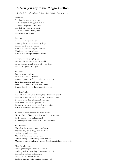### A New Journey to the Mogao Grottoes

St. Paul's Co-educational College, Lai, Caitlin Gretchen - 12

I am tired. Tired of the sand in my socks That managed to wriggle its way in Through the plastic shoe covers Tired of the sweat in my shirt That never seems to evaporate Though the sun blazes

But I am here. Here at the reception desk Holding the ticket between my fingers Hoping the trek was worth it Here at the famous Mogao Grottoes Holding a map in my hands Hordes of tourists pushing me around

Cameras click as people pose In front of the grottoes, centuries old So unremarkable, only marked by two doors But all that glitters isn't gold

So I enter. Enter a world rivalling Even that of Machu Picchu Every sculpture carefully chiselled to perfection Enter the caves and hallways where Even the hardest of stones comes to life Ever so slightly, robes fluttering, hair waving

And I am back.

Back when monks were stuffing the Library Caves with Buddhist scriptures and documents to be sealed away By them more than a thousand years ago Back when they feared, perhaps, that Borders were weak and an attack was coming Better to keep their knowledge safe

An oasis of knowledge in the midst of war Like the lakes of Dunhuang far from the desert's core As the country split and reunified Knowledge sprouted like the fruit the trees bore

And I marvel. Marvel at the paintings on the walls with Monks sitting cross-legged on the floor Meditating with eyes closed Marvel at the murals on the walls Many showing donors doing heroic deeds or Mythical creatures and cross-legged Buddhas copied again and again

Now I am leaving. Leaving the Mogao Grottoes behind me Looking back at the fading shadows of the cliff Lost in the darkness of the night Leaving sacred secrets behind me Looking forward again, hoping that they will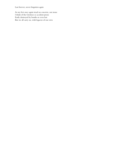Last forever, never forgotten again

As my feet once again tread on concrete, not stone I think of the Grottoes so accident prone Easily destroyed by bombs or even lost But we all carry on, with legacies of our own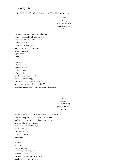## Lonely Star

St. Paul's Co-educational College, Ma, Tuen Hang Luann - 13

blood flashing bright on swords, smirks on faces, life

memories, dreams crumpled in heaps of ash but i'm rising, gleeful, above them. people died because i lived? true. i dismiss the water "to clean your hands, general" sneers. i've stopped for years – wastes water, so i just leave them stained -redbest hue, i figure. how funny it is that both the start and end of one is signified by the same colour – red metallic, unforgiving, the difference is large, honestly, see how they say "kill or be killed"? i couldn't agree more. quick now, leave the scene.

what?

#### just puppets! cut their strings get it done with quick!

sprawled on the ground, glassy-eyed, looking up at… me. no, they wouldn't know it was me who stole their breath, watched them murmur names, whisper of a smile twitching at their last. or would they? no, impossible, they would never. but…their eyes shout they  $-do$ know my viciousness, how i want to prove myself strong, prized, powerful general. the first time i've looked at them so close, but surely, it has been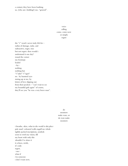a century they have been loathing us, (who am i kidding?) me, "general".

> voice calling come, come now or simply regret

the "r" word i never truly felt for – radius of damage, radar, and radioactive, roger, ruse but not regret. then would i understand it one day? round the corner my footsteps leaded  $-$ by $$ nothing nothing but "r"adar? "r"oger? no. by haunted eyes staring up at me, by letters of love slipping out from their pockets – "can't wait to see my beautiful girls again" of course, they'll see you "he was a very brave man".

> do monsters make wars, or do wars make monsters

i breathe, skies, what in the world is this place pale mud-coloured walls engulf me whole tightly packed inscriptions, symbols seem to swirl my vision, fill my heart with only this shouldn't've done it it echoes, swirls, it's only regret, -mewhat if i'm someone i don't want now,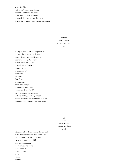what if suffering just doesn't make you strong doesn't build your character it just hurts. me? the sufferer? not at all, i'm just a poised mess, a lonely star. i know, facts remain the same.

> i run fast not enough to just run from me

empty storeys of brick red pillars reach up into the heavens, with its top out of sight – no one higher, or peerless. lonely star. i see fearful faces, low bows hushed voices "my own honour to be at your knees" monster's -slavesbut slaves aren't peers filled with people who either bow deep, or point a finger "go!" my world, my universe, it's just me, killing, hurting, myself. all the fellow monks smile down at me serenely, stars shouldn't be seen alone.

all

#### of us, at least one chapter we don't read

i became all of them, haunted eyes, and nurturing inner night, dark chambers flicker and swish as one by one, their faces appear, soulful, and ruthless general looks away. no more is the pride of not flinching as he  $-$ kills $$ my kills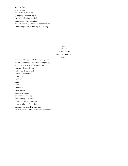seem to fade as i work on manuscripts, building, ploughing the fields again. they still echo in my mind but it's still pretty amazing that i'm here right now, not back there in the battlegrounds, smirking, unflinching.

> they say i've become weak? quite the opposite, strong

someday i'll meet my fellow star right here because soulmates have same hiding spots, and i know – maybe i've done too much to deserve it, but i'll just be up there myself until you come too. faces visit i still fail but i  $-$ try $$ the word, three letters too many hidden emotions – love, joy trust, failing, victorious… i don't always end up well but that's life, isn't it – just a perfectly put together mess and i love it, wild and free, wonderfully chaotic.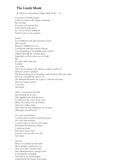## The Lonely Monk

St. Paul's Co-educational College, Mok, Si Kei - 14

I was born in a hidden grotto Tucked securely on the Mogao mountains But not long Everyone in the grotto died To be buried under dust So, I never had my childhood And I became its sole guardian

#### At first

I was thrilled to have this mysterious cavern All to myself Being the childish boy I was I roamed the halls that echoed with age I traced paintings of the Buddha with a branch I flipped through the countless pages Suspended on shelves that were too high But As I grew taller with time I realised I was alone The Crescent Spring in the distance could not pacify me However clearly it sparkled The flowers that grew every spring could not fill my life with colour However colourful they grew to be The Mingsha Mountain was a giant I could not rely upon However steady it stayed I was alone And lonely

Often, I would roam the halls Just searching for an echo That signalled some holy presence I would sit in the centre of my room Where the echoes were the loudest And recite endless chants That fooled me into thinking I was not alone Although I was still lonely

On every sacred festival I was the only one there to glorify the gods On every early morning I was the only one who saw the sunrise Each smile the sunbeams radiated I could not return And when winter came I was the only one who was cold And lonely

One day When I was already an old monk Three strangers entered my cave They were from a faraway land And called themselves a strange word It sounded like archangels Or maybe it was archaeologists Captivated by the beauty of my home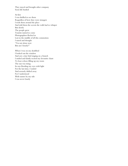They stayed and brought other company Soon life bustled

At first I was thrilled to see them Regardless of how they were strangers I took them around the place And told them the secrets the walls had to whisper But slowly The people grew Tourists started to come Photographers flocked in Lost in the middle of all this commotion I stared and thought "I'm not alone now But am I lonely?"

When I was on my deathbed I looked out the window And saw a tiny bird singing on a branch I smiled and faintly recited my favourite chant To hear echoes filling up my room The sun was rising Its rays flooding my eyes with light For the last time, I smiled And serenely drifted away For I understood With nature by my side I was never lonely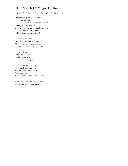### The Secrets Of Mogao Grottoes

St. Stephen's Girls' College, Chan, Man Yan Hailey - 13

Once in the good ol' land of China A dragon said to me, "Those are the caves of Mogao Grottos! Don't just leave them be! It's where the monks warmed their toes!" The dragon was heard to say, "Please don't leave me at bay!"

"This cave is a book, Only for those who will look. No, it won't teach you how to cook, But please come and have a look!"

"Stare and stare, Many eyes do glare, Will they get at last, The secrets of the past?"

"The statues and paintings, The murals and carvings, Are not only a piece of art, I always get upset, When children only come and fart!"

Will You be the one to get at last, The secrets draped in a mask?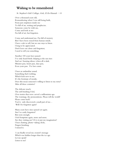#### Wishing to be remembered

St. Stephen's Girls' College, Goh, Zi En Hannah - 14

Over a thousand years old, Remembering when I was still being built, From just emptiness inside me To full of art, writing and prophecies. Someone come be with me, Come and look at me: I'm full of art, but forgotten.

Come and understand me, I'm full of mystery But I have been erased from human minds. I have a tale to tell, but no one stays to listen. I long to be appreciated. Don't leave me alone and forgotten; I need to tell you something.

Another 100 years have passed. I've only heard birds chirping as the sun rises And ear-buzzing silence when all is dark. Minutes pass, hours pass, days pass, Even years pass. I've lost count.

I hear an unfamiliar sound. Something that's tickling, Which feels new to me. It's the footsteps of monks. Does this mean someone's willing to listen to my story? After all these centuries?

The delicate touch. The soft brushing I feel, Over stories that were carved a millennium ago. The warnings, the premonitions. Please tell the world! Please come back! You've only discovered a small part of me… Will I be forgotten again?

Many years have since passed yet again. Am I so easily forgotten? But soon enough, I feel footprints again, more and more. Are they visiting me? Or is it just my imagination? I hear chatting, photo-taking clicks, Fingers brushing. I missed it.

I can finally reveal my creator's message Which was hidden longer than the ice age. Let me speak! Listen to me!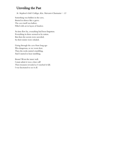# Unveiling the Past

St. Stephen's Girls' College, Kar, Narvarro Charmaine - 13

Something was hidden in the cave, Buried in silence like a grave. The cave itself was hallow. Filled with art in layers of shadow.

As time flew by, everything had been forgotten. Everything in there seemed to be rotten. But then the secrets were unveiled, So their stories were exhaled.

Going through the cave from long ago Was dangerous, so we went slow. Then the rocks started crumbling, And I started to hear rumbling.

Boom! Went the inner wall. I must admit it was a close call! Then treasures revealed as I watched it fall. I was fascinated to see it all.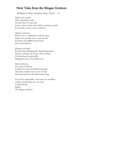### New Tales from the Mogao Grottoes

Wellington College, Shanghai, Hong, Yixuan - 14

Think and wonder, Who untied the winds? Set them free to roam and Sweep a layer of thin sand off the vast body of gold. Every grain of sand a piece of history.

Glimpse and stare; Before you is a millenium of silent stories. Stories voiced with every crack and rift Etched by the skillful hand of time. Flawed but flawless.

Whisper and hush, Refrain from disturbing the slumbering statues. Statues wearing coats of grey dust and time Overlooking us majestically. Hiding the past in dead black eyes.

Sink and drown, In an oasis of history. So allured to such dreamlike landscapes That time vanishes into a river of sand. Flowing back from the blossoming Tang.

Yet sand is ungraspable, and stories are soundless. I look up from hypnosis, eyes hazy To find myself Before The Mogao Grottoes.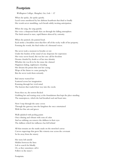### Footprints

Wellington College, Shanghai, Lin, Lola  $-12$ 

When she spoke, she spoke quietly. Lucid verses smothered by her dubious heartbeats that thud so loudly Her words never stumbling, each breath subtly inciting anticipation.

When she sang, she sang quietly.

Her voice a sharpened knife that cut through the lulling atmosphere. The birds turned to stare, rapid flutters silenced by curiosity.

When she painted, she painted loud. Each stroke a breathless siren that flew off of the rocky walls of her property. Forming the words, the final wishes of a thousand voices.

She never took a moment to breathe or rest Under the burden of the mind of one desperate for expression Her voice never heard, this was her one call for freedom Dreams clouded by doubt as of her true identity Whether she was fit to be the muse she claimed Happiness fading, nightmares clouding Her dreams the prison that sent her crying Wisps of the future to come passing by But she never took them seriously.

Bad omens warned her Scattered across her imagination Running through her vivid mind The horrors that waded their way into the cracks

From then on, the terrors flocked Grabbing her and tearing away at the foundations that kept the place standing The masterpieces, which she had breathed soul and heart into.

Now I step through the same coven Through the gateway into the kingdom she once entertained With her fine arts and graces

Walls splashed with peeling paints Once shining and vibrant with eons of color And no rubbing can remove the dullness in their eyes The dullness which her influence has left behind

All that remains are the marks made on the stretched canvas Carven engravings that grow like wisteria rose across the covenant So far away from the misery

Her story left untold Hidden between the lines Left to search for blindly Or, as they sometimes call it Follow in the muse's

Footprints.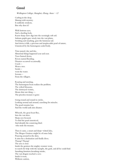### Greed

Wellington College, Shanghai, Zhang, Anna  $-12$ 

Curling in the deep, Shining with mystery. It suddenly awakens, But why does it?

With lustrous eyes, And a dazzling look, Razor sharp claws digs into the seemingly soft soil. Auburn pupils gaze wisely into the vast plains, Swishing and smashing, goes the luminous tail. And down it falls, a precious and irreplaceable pearl of nature, Unnoticed by the humongous scaled body.

Time passed, day and day, Abnormal things happened year and year. Trees burned down, Rivers started flooding, Disasters occurred occasionally. Crack— Went a tree. Swish went the water. Scream— From the villagers.

Roaring and snorting, The humongous beast realizes the problem. The wilted blossoms, The destroyed victims, Means that one thing — The priceless treasure is gone.

Going round and round in circles, Looking around and around, searching for miracles. The pearl remains lost, And the world sank into disaster.

Whoosh, the great beast flies, Into the vast skies. Sharp eyes focused, To find the pearl unnoticed, And identify the conniving thief, who stole the treasure.

Then it came, a smart and sharp-witted idea, The Mogao Grottoes might be of some help. Prancing around in the skies, It aims for a destination and finally dives. Thump! Thump! The area is clear. Inside the grottoes the mighty creature went, to search for help with the nymphs, the gods, and all he could find. Smashing furniture,breathing smoke, The vast dragon reached a cave. Inside it went, Without caution,